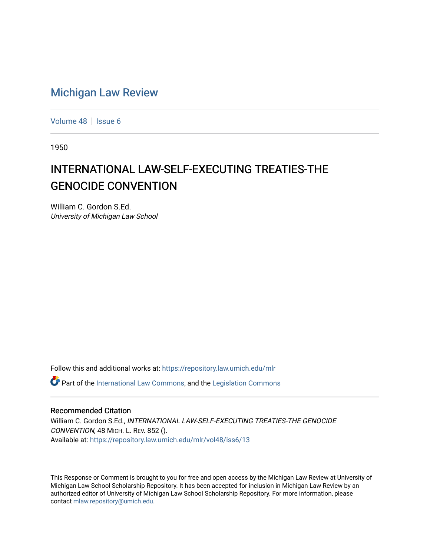# [Michigan Law Review](https://repository.law.umich.edu/mlr)

[Volume 48](https://repository.law.umich.edu/mlr/vol48) | [Issue 6](https://repository.law.umich.edu/mlr/vol48/iss6)

1950

# INTERNATIONAL LAW-SELF-EXECUTING TREATIES-THE GENOCIDE CONVENTION

William C. Gordon S.Ed. University of Michigan Law School

Follow this and additional works at: [https://repository.law.umich.edu/mlr](https://repository.law.umich.edu/mlr?utm_source=repository.law.umich.edu%2Fmlr%2Fvol48%2Fiss6%2F13&utm_medium=PDF&utm_campaign=PDFCoverPages) 

 $\bullet$  Part of the [International Law Commons,](http://network.bepress.com/hgg/discipline/609?utm_source=repository.law.umich.edu%2Fmlr%2Fvol48%2Fiss6%2F13&utm_medium=PDF&utm_campaign=PDFCoverPages) and the Legislation Commons

#### Recommended Citation

William C. Gordon S.Ed., INTERNATIONAL LAW-SELF-EXECUTING TREATIES-THE GENOCIDE CONVENTION, 48 MICH. L. REV. 852 (). Available at: [https://repository.law.umich.edu/mlr/vol48/iss6/13](https://repository.law.umich.edu/mlr/vol48/iss6/13?utm_source=repository.law.umich.edu%2Fmlr%2Fvol48%2Fiss6%2F13&utm_medium=PDF&utm_campaign=PDFCoverPages) 

This Response or Comment is brought to you for free and open access by the Michigan Law Review at University of Michigan Law School Scholarship Repository. It has been accepted for inclusion in Michigan Law Review by an authorized editor of University of Michigan Law School Scholarship Repository. For more information, please contact [mlaw.repository@umich.edu](mailto:mlaw.repository@umich.edu).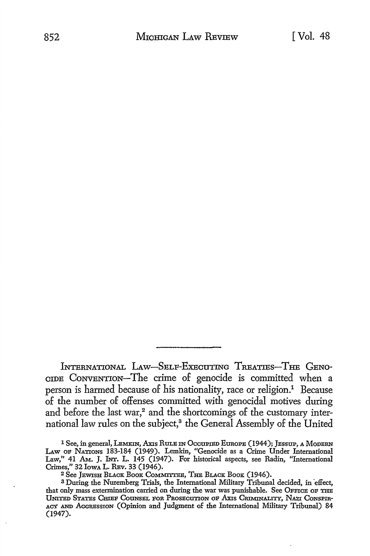INTERNATIONAL LAW-SELF-EXECUTING TREATIES-THE GENO-CIDE CONVENTION-The crime of genocide is committed when a person is harmed because of his nationality, race or religion.<sup>1</sup> Because of the number of offenses committed with genocidal motives during and before the last war,<sup>2</sup> and the shortcomings of the customary international law rules on the subject,<sup>3</sup> the General Assembly of the United

<sup>1</sup> See, in general, LEMKIN, Axis RULE IN Occupied EUROPE (1944); JESSUP, A MODERN LAW OF NATIONS 183-184 (1949). Lemkin, "Genocide as a Crime Under International Law," 41 Am. J. INT. L. 145 (1947). For historical aspects, see Radin, "International Crimes," 32 lowA L. REv. 33 (1946).

<sup>2</sup>See JEWISH BLACK BooK CoMMI'ITEE, THE BLACK BooK (1946).

<sup>3</sup> During the Nuremberg Trials, the International Military Tribunal decided, in effect, that only mass extermination carried on during the war was punishable. See OFFICE OF THE UNITED STATES CmEF COUNSEL FOR PROSECUTION oF Axis CRIMINALITY, NAZI CoNsPm-ACY AND AGGRESSION (Opinion and Judgment of the International Military Tribunal) 84 (1947).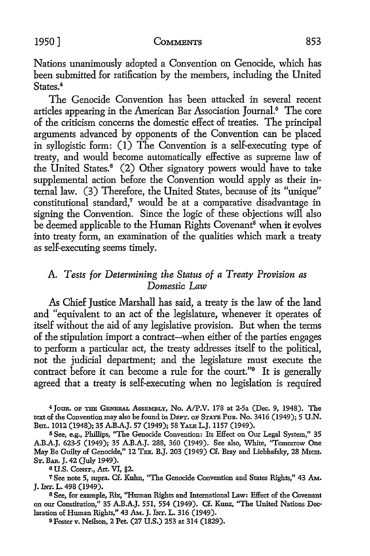#### 1950] COMMENTS 853

Nations unanimously adopted a Convention on Genocide, which has been submitted for ratification by the members, including the United States<sup>4</sup>

The Genocide Convention has been attacked in several recent articles appearing in the American Bar Association Journal.5 The core of the criticism concerns the domestic effect of treaties. The principal arguments advanced by opponents of the Convention can be placed **in** syllogistic form: (I) The Convention is a self-executing type of treaty, and would become automatically effective as supreme law of the United States.<sup>6</sup> (2) Other signatory powers would have to take supplemental action before the Convention would apply as their internal law. (3) Therefore, the United States, because of its "unique" constitutional standard,<sup>7</sup> would be at a comparative disadvantage in signing the Convention. Since the logic of these objections will also be deemed applicable to the Human Rights Covenant<sup>8</sup> when it evolves into treaty form, an examination of the qualities which mark a treaty as self-executing seems timely.

## A *Tests for Determining the Status of a Treaty Provision as Domestic* Law

As Chief Justice Marshall has said, a treaty is the law of the land and "equivalent to an act of the legislature, whenever it operates of itself without the aid of any legislative provision. But when the terms of the stipulation import a contract-when either of the parties engages to perform a particular act, the treaty addresses itself to the political, not the judicial department; and the legislature must execute the contract before it can become a rule for the court."<sup>9</sup> It is generally agreed that a treaty is self-executing when no legislation is required

<sup>4</sup> JOUR. OF THE GENERAL ASSEMBLY, No. A/P.V. 178 at 2-5a (Dec. 9, 1948). The text of the Convention may also be found in DEPT. OF STATE PuB. No. 3416 (1949); 5 U .N. Bul. 1012 (1948); 35 A.B.A.J. 57 (1949); 58 YALE L.J. 1157 (1949).

5 See, e.g., Phillips, ''The Genocide Convention: Its Effect on Our Legal System," 35 A.B.A.J. 623-5 (1949); 35 A.B.A.J. 288, 360 (1949). See also, White, "Tomorrow One May Be Guilty of Genocide," 12 TEx. B.J. 203 (1949) Cf. Bray and Liebhafsky, 28 MICH. ST. BAR. J. 42 (July 1949).

o U.S. CoNsT., Art. VI, §2.

7 See note 5, supra. Cf. Kuhn, ''The Genocide Convention and States Rights," 43 AM.. J. INT. L. 498 (1949).

s See, for example, Rix, "Human Rights and International Law: Effect of the Covenant on our Constitution," 35 A.B.A.J. 551, 554 (1949). Cf. Kunz, ''The United Nations Declaration of Human Rights," 43 AM.. J. INT. L. 316 (1949).

O Foster v. Neilson, 2 Pet. (27 U.S.) 253 at 314 (1829).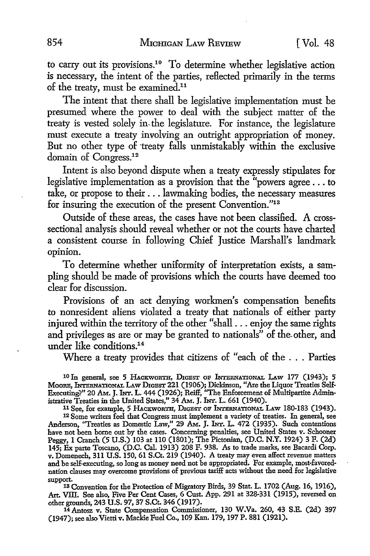to carry out its provisions.10 To determine whether legislative action is necessary, the intent of the parties, reflected primarily in the terms of the treaty, must be examined.11

The intent that there shall be legislative implementation must be presumed where the power to deal with the subject matter of the treaty is vested solely in, the legislature. For instance, the legislature must execute a treaty involving an outright appropriation of money. But no other type of treaty falls unmistakably within the exclusive domain of Congress.<sup>12</sup>

Intent is also beyond dispute when a treaty expressly stipulates for legislative implementation as a provision that the "powers agree ... to take, or propose to their ... lawmaking bodies, the necessary measures for insuring the execution of the present Convention."13

Outside of these areas, the cases have not been classified. A crosssectional analysis should reveal whether or not the courts have charted a consistent course in following Chief Justice Marshall's landmark opinion.

To determine whether uniformity of interpretation exists, a sampling should be made of provisions which the courts have deemed too clear for discussion.

Provisions of an act denying workmen's compensation benefits to nonresident aliens violated a treaty that nationals of either party injured within the territory of the other "shall ... enjoy the same rights and privileges as are or may be granted to nationals" of the. other, and under like conditions.<sup>14</sup>

Where a treaty provides that citizens of "each of the . . . Parties

10 In general, see 5 HACKWORTH, DIGEST OF INTERNATIONAL LAW 177 (1943); 5 MooRE, lNTBRNA'nONAL LAW DIGEST 221 (1906); Dickinson, *"Axe* the Liquor Treaties Self-Executingi'" 20 AM. J. INT. L. 444 (1926); Reiff, "The Enforcement of Multipartite Administrative Treaties in the United States," 34 AM. J. INT. L. 661 (1940).

11 See, for example, 5 HACKWORTH, DIGEST OF INTERNATIONAL LAW 180-183 (1943).

<sup>12</sup>Some writers feel that Congress must implement a variety of treaties. In general, see Anderson, ''Treaties as Domestic Law," 29 AM. J. INT. L. 472 (1935). Such contentions have not been home out by the cases. Concerning penalties, see United States v. Schooner Peggy, 1 Cranch (5 U.S.) 103 at 110 (1801); The Pictonian, (D.C. N.Y. 1924) 3 F. (2d) 145; Ex parte Toscano, (D.C. Cal. 1913) 208 F. 938. As to trade marks, see Bacardi Corp. v. Domenech, 311 U.S. 150, 61 S.Ct. 219 (1940). A treaty may even affect revenue matters and be self-executing, so long as money need not be appropriated. For example, most-favorednation clauses may overcome provisions of previous tariff acts without the need for legislative

support. 13 Convention for the Protection of Migratory Birds, 39 Stat. L. 1702 (Aug. 16, 1916), Art. VIII. See also, Five Per Cent Cases, 6 Cust. App. 291 at 328-331 (1915), reversed on other grounds, 243 U.S. 97, 37 S.Ct. 346 (1917).

<sup>14</sup>Antosz v. State Compensation Commissioner, 130 W.Va. 260, 43 S.E. (2d) 397 (1947); see also Vietti v. Mackie Fuel Co., 109 Kan. 179, 197 P. 881 (1921).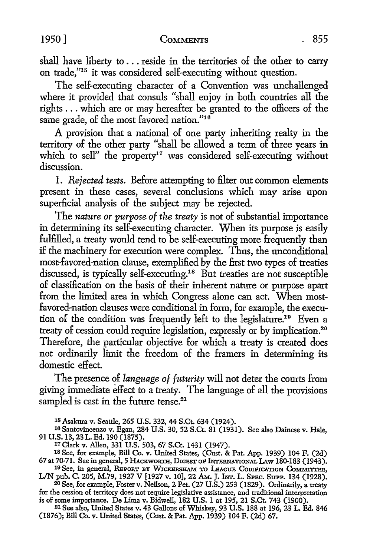shall have liberty to ... reside in the territories of the other to carry on trade,"15 it was considered self-executing without question.

The self-executing character of a Convention was unchallenged where it provided that consuls "shall enjoy in both countries all the rights ... which are or may hereafter be granted to the officers of the same grade, of the most favored nation."<sup>16</sup>

A provision that a national of one party inheriting realty in the territory of the other party "shall be allowed a term of three years in which to sell" the property<sup>17</sup> was considered self-executing without discussion.

l. *Rejected tests.* Before attempting to filter out common elements present in these cases, several conclusions which may arise upon superficial analysis of the subject may be rejected.

The *nature or purpose of the treaty* is not of substantial importance in determining its self-executing character. When its purpose is easily fulfilled, a treaty would tend to be self-executing more frequently than if the machinery for execution were complex. Thus, the unconditional most-favored-nation clause, exemplified by the first two types of treaties discussed, is typically self-executing.18 But treaties are not susceptible of classification on the basis of their inherent nature or purpose apart from the limited area in which Congress alone can act. When mostfavored-nation clauses were conditional in form, for example, the execution of the condition was frequently left to the legislature.19 Even a treaty of cession could require legislation, expressly or by implication.20 Therefore, the particular objective for which a treaty is created does not ordinarily limit the freedom of the framers in determining its domestic effect.

The presence of *language of futurity* will not deter the courts from giving immediate effect to a treaty. The language of all the provisions sampled is cast in the future tense.<sup>21</sup>

<sup>15</sup> Asakura v. Seattle, 265 U.S. 332, 44 S.Ct. 634 (1924).

16 Santovincenzo v. Egan, 284 U.S. 30, 52 S.Ct. 81 (1931). See also Dainese v. Hale, 91 U.S. 13, 23 L. Ed. 190 (1875).

11 Clark v. Allen, 331 U.S. 503, 67 S.Ct. 1431 (1947).

1s See, for example, Bill Co. v. United States, (Cust. & Pat. App. 1939) 104 F. (2d) 67 at 70-71. See in general, 5 HACKWORTH, DIGEST oF hrrERNATIONAL LAw 180-183 (1943).

19 See, in general, REPORT BY WICKERSHAM TO LEAGUE CODIFICATION COMMITTEE, LIN pub. C. 205, M.79, 1927 V [1927 v. 10], 22 AM. J. INT. L. SPEC. SUPP. 134 (1928).

<sup>20</sup>See, for example, Foster v. Neilson, 2 Pet. (27 U.S.) 253 (1829). Ordinarily, a treaty for the cession of territory does not require legislative assistance, and traditional interpretation is of some importance. De Lima v. Bidwell, 182 U.S. 1 at 195, 21 S.Ct. 743 (1900).

21 See also, United States v. 43 Gallons of Whiskey, 93 U.S. 188 at 196, 23 L. Ed. 846 (1876); Bill Co. v. United States, (Cust. & Pat. App. 1939) 104 F. (2d) 67.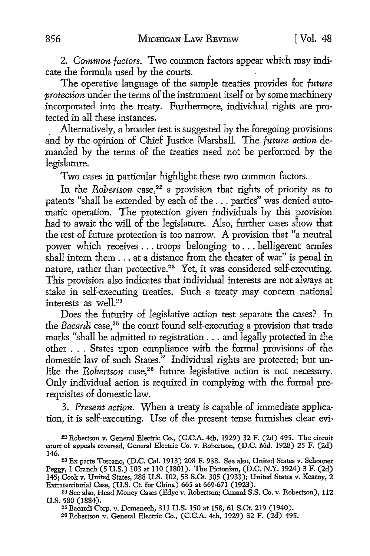2. *Common factors.* Two common factors appear which may indicate the formula used by the courts.

The operative language of the sample treaties provides for *future protection* under the terms of the instrument itself or by some machinery incorporated into the treaty. Furthermore, individual rights are protected in all these instances.

. Alternatively, a broader test is suggested by the foregoing provisions and by the opinion of Chief Justice Marshall. The *future action* de manded by the terms of the treaties need not be performed by the legislature.

Two cases in particular highlight these two common factors.

In the *Robertson* case,<sup>22</sup> a provision that rights of priority as to patents "shall be extended by each of the ... parties" was denied automatic operation. The protection given individuals by this provision had to await the will of the legislature. Also, further cases show that the test of future protection is too narrow. A provision that "a neutral power which receives ... troops belonging to ... belligerent armies shall intern them ... at a distance from the theater of war" is penal in nature, rather than protective.<sup>23</sup> Yet, it was considered self-executing. This provision also indicates that individual interests are not always at stake in self-executing treaties. Such a treaty may concern national interests as well.<sup>24</sup>

Does the futurity of legislative action test separate the cases? In the *Bacardi* case,<sup>25</sup> the court found self-executing a provision that trade marks "shall be admitted to registration ... and legally protected in the other ... States upon compliance with the formal provisions of the domestic law of such States." Individual rights are protected; but unlike the *Robertson* case,<sup>26</sup> future legislative action is not necessary. Only individual action is required in complying with the formal prerequisites of domestic law.

3. *Present action.* When a treaty is capable of immediate application, it is self-executing. Use of the present tense furnishes clear evi-

24 See also, Head Money Cases (Edye v. Robertson; Cunard S.S. Co. v. Robertson), 112 U.S. 580 (1884).

25 Bacardi Corp. v. Domenech, 311 U.S. 150 at 158, 61 S.Ct. 219 (1940).

26 Robertson v. General Electric Co., (C.C.A. 4th, 1929) 32 F. (2d) 495.

<sup>22</sup>Robertson v. General Electric Co., (C.C.A. 4th, 1929) 32 F. (2d) 495. The circuit court of appeals reversed, General Electric Co. v. Robertson, (D.C. Md. 1928) 25 F. (2d) 146.

<sup>&</sup>lt;sup>23</sup> Ex parte Toscano, (D.C. Cal. 1913) 208 F. 938. See also, United States v. Schooner Peggy, 1 Cranch (5 U.S.) 103 at ll0 (1801). The Pictonian, (D.C. N.Y. 1924) 3 F. (2d) 145; Cook v. United States, 288 U.S. 102, 53 S.Ct. 305 (1933); United States v. Kearny, 2 Extraterritorial Case, (U.S. Ct. for China) 665 at 669-671 (1923).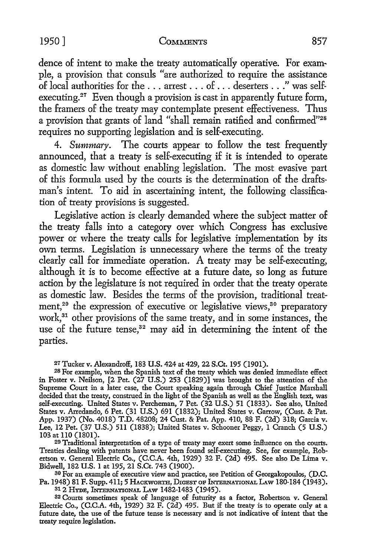#### 1950] COMMENTS 857

dence of intent to make the treaty automatically operative. For example, a provision that consuls "are authorized to require the assistance of local authorities for the ... arrest . . . of ... deserters ... " was selfexecuting.<sup>27</sup> Even though a provision is cast in apparently future form, the framers of the treaty may contemplate present effectiveness. Thus a provision that grants of land "shall remain ratified and confirmed"28 requires no supporting legislation and is self-executing.

4. Summary. The courts appear to follow the test frequently announced, that a treaty is self-executing if it is intended to operate as domestic law without enabling legislation. The most evasive part of this formula used by the courts is the determination of the draftsman's intent. To aid in ascertaining intent, the following classification of treaty provisions is suggested.

Legislative action is clearly demanded where the subject matter of the treaty falls into a category over which Congress has exclusive power or where the treaty calls for legislative implementation by its own terms. Legislation is unnecessary where the terms of the treaty clearly call for immediate operation. A treaty may be self-executing, although it is to become effective at a future date, so long as future action by the legislature is not required in order that the treaty operate as domestic law. Besides the terms of the provision, traditional treatment,<sup>29</sup> the expression of executive or legislative views,<sup>30</sup> preparatory work,<sup>31</sup> other provisions of the same treaty, and in some instances, the use of the future tense,<sup>32</sup> may aid in determining the intent of the parties.

27 Tucker v. Alexandroff, 183 U.S. 424 at 429, 22 S.Ct. 195 (1901).

28 For example, when the Spanish text of the treaty which was denied immediate effect in Foster v. Neilson, [2 Pet. (27 U.S.) 253 (1829)] was brought to the attention of the Supreme Court in a later case, the Court speaking again through Chief Justice Marshall decided that the treaty, construed in the light of the Spanish as well as the English text, was self-executing. United States v. Percheman, 7 Pet. (32 U.S.) 51 (1833). See also, United States v. Arredando, 6 Pet. (31 U.S.) 691 (1832); United States v. Garrow, (Cust. & Pat. App. 1937) (No. 4018) T.D. 48208; 24 Cust. & Pat. App. 410, 88 F. (2d) 318; Garcia v. Lee, 12 Pet. (37 U.S.) 511 (1838); United States v. Schooner Peggy, 1 Cranch (5 U.S.) 103 at 110 (1801).

29 Traditional interpretation of a type of treaty may exert some inHuence on the courts. Treaties dealing with patents have never been found self-executing. See, for example, Robertson v. General Electric Co., (C.C.A. 4th, 1929) 32 F. (2d) 495. See also De Lima v. Bidwell, 182 U.S. 1 at 195, 21 S.Ct. 743 (1900).

30 For an example of executive view and practice, see Petition of Georgakopoulos, (D.C. Pa. 1948) 81 F. Supp. 411; 5 HACKWORTH, DIGEST OF INTERNATIONAL LAW 180-184 (1943).

312 HYDE, INTERNATIONAL LAW 1482-1483 (1945).

32 Courts sometimes speak of language of futurity as a factor, Robertson v. General Electric Co., (C.C.A. 4th, 1929) 32 F. (2d) 495. But if the treaty is to operate only at a future date, the use of the future tense is necessary and is not indicative of intent that the treaty require legislation.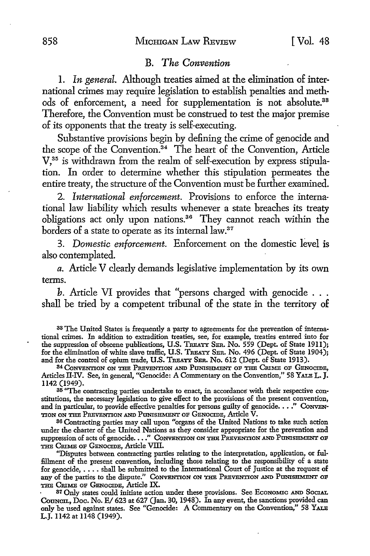### B. *The Convention*

1. *In general.* Although treaties aimed at the elimination of international crimes may require legislation to establish penalties and methods of enforcement, a need for supplementation is not absolute.<sup>33</sup> Therefore, the Convention must be construed to test the major premise of its opponents that the treaty is self-executing.

Substantive provisions begin by defining the crime of genocide and the scope of the Convention.<sup>34</sup> The heart of the Convention, Article V,35 is withdrawn from the realm of self-execution by express stipulation. In order to determine whether this stipulation permeates the entire treaty, the structure of the Convention must be further examined.

2. *International enforcement.* Provisions to enforce the international law liability which results whenever a state breaches its treaty obligations act only upon nations. 36 They cannot reach within the borders of a state to operate as its internal law.<sup>37</sup>

3. *Domestic enforcement.* Enforcement on the domestic level is also contemplated.

*a.* Article V clearly demands legislative implementation by its own terms.

*b.* Article VI provides that "persons charged with genocide ... shall be tried by a competent tribunal of the state in the territory of

33 The United States is frequently a party to agreements for the prevention of international crimes. In addition to extradition treaties, see, for example, treaties entered into for the suppression of obscene publications, U.S. TREATY SER. No. 559 (Dept. of State 1911); for the elimination of white slave traffic, U.S. TREATY SER. No. 496 (Dept. of State 1904); and for the control of opium trade, U.S. TREATY SER. No. 612 (Dept. of State 1913).

84 CoNVENTION ON THE PREVENTION AND PUNISHMENT OP THE CRIME OP GENOCIDE, Articles II-IV. See, in general, "Genocide: A Commentary on the Convention," 58 YALE L. J. 1142 (1949).

<sup>35</sup> "The contracting parties undertake to enact, in accordance with their respective constitutions, the necessary legislation to give effect to the provisions of the present convention, and in particular, to provide effective penalties for persons guilty of genocide.  $\ldots$ ." CONVEN-TION ON THE PREVENTION AND PUNISHMENT OP GENOCIDE, Article V.

86 Contracting parties may call upon "organs of the United Nations to take such action under the charter of the United Nations as they consider appropriate for the prevention and suppression of acts of genocide. ..." CONVENTION ON THE PREVENTION AND PUNISHMENT OF THE CRIME OP GENOCIDE, Article VIII.

"Disputes between contracting parties relating to the interpretation, application, or fulfillment of the present convention, including those relating to the responsibility of a state for genocide, .... shall be submitted to the International Court of Justice at the request of any of the parties to the dispute." CONVENTION ON THE PREVENTION AND PUNISHMENT OF THE CRIME OF GENOCIDE, Article IX.<br>87 Only states could initiate action under these provisions. See Economic and Social.

Council, Doc. No. E/ 623 at 627 (Jan. 30, 1948). In any event, the sanctions provided can only be used against states. See "Genocide: A Commentary on the Convention," 58 YALE L.J. 1142 at 1148 (1949).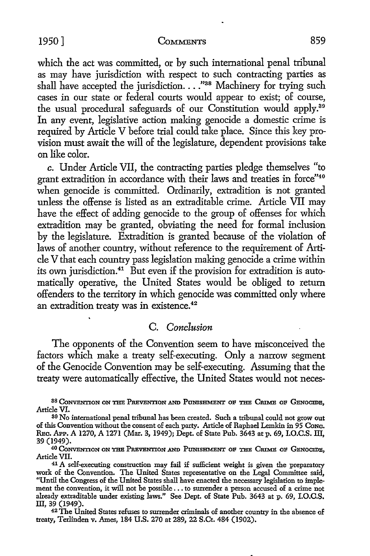#### 1950] COMMENTS 859

which the act was committed, or by such international penal tribunal as may have jurisdiction with respect to such contracting parties as shall have accepted the jurisdiction.  $\ldots$ <sup>38</sup> Machinery for trying such cases in our state or federal courts would appear to exist; of course, the usual procedural safeguards of our Constitution would apply.39 In any event, legislative action making genocide a domestic crime is required by Article V before trial could take place. Since this key provision must await the will of the legislature, dependent provisions take on like color.

*c.* Under Article VII, the contracting parties pledge themselves "to grant extradition in accordance with their laws and treaties in force"40 when genocide is committed. Ordinarily, extradition is not granted unless the offense is listed as an extraditable crime. Article VII may have the effect of adding genocide to the group of offenses for which extradition may be granted, obviating the need for formal inclusion by the legislature. Extradition is granted because of the violation of laws of another country, without reference to the requirement of Article V that each country pass legislation making genocide a crime within its own jurisdiction.41 But even if the provision for extradition is automatically operative, the United States would be obliged to return offenders to the territory in which genocide was committed only where an extradition treaty was in existence.<sup>42</sup>

# C. *Conclusion*

The opponents of the Convention seem to have misconceived the factors which make a treaty self-executing. Only a narrow segment of the Genocide Convention may be self-executing. Assuming that the treaty were automatically effective, the United States would not neces-

88 CONVENTION ON THE PREVENTION AND PUNISHMENT OF THE CRIME OF GENOCIDE, Article VI.

treaty, Terlinden v. Ames, 184 U.S. 270 at 289, 22 S.Ct. 484 (1902).

<sup>89</sup>No international penal tribunal has been created. Such a tribunal could not grow out of this Convention without the consent of each party. Article of Raphael Lemkin in 95 CoNc. REC. APP. A 1270, A 1271 (Mar. 3, 1949); Dept. of State Pub. 3643 at p. 69, I.O.C.S. III, 39 (1949).

<sup>&</sup>lt;sup>40</sup> CONVENTION ON THE PREVENTION AND PUNISHMENT OF THE CRIME OF GENOCIDE, Article VII.

<sup>&</sup>lt;sup>41</sup> A self-executing construction may fail if sufficient weight is given the preparatory work of the Convention. The United States representative on the Legal Committee said, "Until the Congress of the United States shall have enacted the necessary legislation to implement the convention, it will not be possible .•• to surrender a person accused of a crime not already extraditable under existing laws." See Dept. of State Pub. 3643 at p. 69, **I.O.C.S.**  III, 39 (1949). 42 The United States refuses to surrender criminals of another country in the absence of